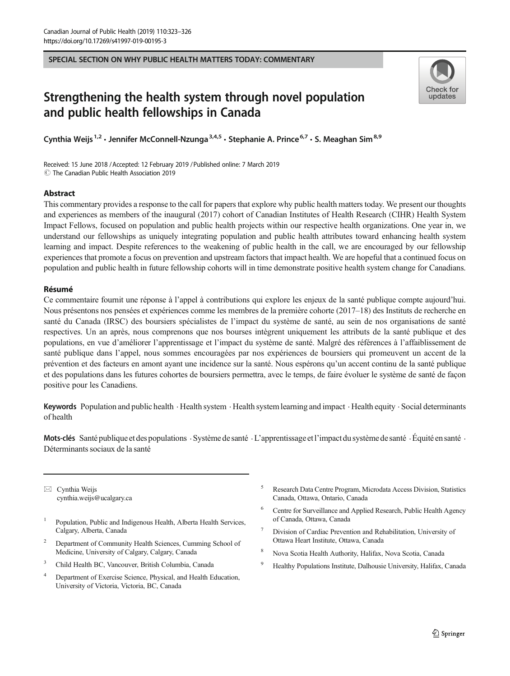SPECIAL SECTION ON WHY PUBLIC HEALTH MATTERS TODAY: COMMENTARY SPECIAL SECTION ON WHY PUBLIC HEALTH MATTERS TODAY: COMMENTARY

# Strengthening the health system through novel population and public health fellowships in Canada



Cynthia Weijs<sup>1,2</sup> • Jennifer McConnell-Nzunga<sup>3,4,5</sup> • Stephanie A. Prince<sup>6,7</sup> • S. Meaghan Sim<sup>8,9</sup>

Received: 15 June 2018 /Accepted: 12 February 2019 /Published online: 7 March 2019  $\odot$  The Canadian Public Health Association 2019

#### Abstract

This commentary provides a response to the call for papers that explore why public health matters today. We present our thoughts and experiences as members of the inaugural (2017) cohort of Canadian Institutes of Health Research (CIHR) Health System Impact Fellows, focused on population and public health projects within our respective health organizations. One year in, we understand our fellowships as uniquely integrating population and public health attributes toward enhancing health system learning and impact. Despite references to the weakening of public health in the call, we are encouraged by our fellowship experiences that promote a focus on prevention and upstream factors that impact health. We are hopeful that a continued focus on population and public health in future fellowship cohorts will in time demonstrate positive health system change for Canadians.

#### Résumé

Ce commentaire fournit une réponse à l'appel à contributions qui explore les enjeux de la santé publique compte aujourd'hui. Nous présentons nos pensées et expériences comme les membres de la première cohorte (2017–18) des Instituts de recherche en santé du Canada (IRSC) des boursiers spécialistes de l'impact du système de santé, au sein de nos organisations de santé respectives. Un an après, nous comprenons que nos bourses intègrent uniquement les attributs de la santé publique et des populations, en vue d'améliorer l'apprentissage et l'impact du système de santé. Malgré des références à l'affaiblissement de santé publique dans l'appel, nous sommes encouragées par nos expériences de boursiers qui promeuvent un accent de la prévention et des facteurs en amont ayant une incidence sur la santé. Nous espérons qu'un accent continu de la santé publique et des populations dans les futures cohortes de boursiers permettra, avec le temps, de faire évoluer le système de santé de façon positive pour les Canadiens.

Keywords Population and public health  $\cdot$  Health system  $\cdot$  Health system learning and impact  $\cdot$  Health equity  $\cdot$  Social determinants of health

Mots-clés Santé publique et des populations · Système de santé · L'apprentissage et l'impact du système de santé · Équité en santé · Déterminants sociaux de la santé

 $\boxtimes$  Cynthia Weijs [cynthia.weijs@ucalgary.ca](mailto:cynthia.weijs@ucalgary.ca)

- <sup>1</sup> Population, Public and Indigenous Health, Alberta Health Services, Calgary, Alberta, Canada
- <sup>2</sup> Department of Community Health Sciences, Cumming School of Medicine, University of Calgary, Calgary, Canada
- <sup>3</sup> Child Health BC, Vancouver, British Columbia, Canada
- <sup>4</sup> Department of Exercise Science, Physical, and Health Education, University of Victoria, Victoria, BC, Canada
- <sup>5</sup> Research Data Centre Program, Microdata Access Division, Statistics Canada, Ottawa, Ontario, Canada
- <sup>6</sup> Centre for Surveillance and Applied Research, Public Health Agency of Canada, Ottawa, Canada
- <sup>7</sup> Division of Cardiac Prevention and Rehabilitation, University of Ottawa Heart Institute, Ottawa, Canada
- <sup>8</sup> Nova Scotia Health Authority, Halifax, Nova Scotia, Canada
- <sup>9</sup> Healthy Populations Institute, Dalhousie University, Halifax, Canada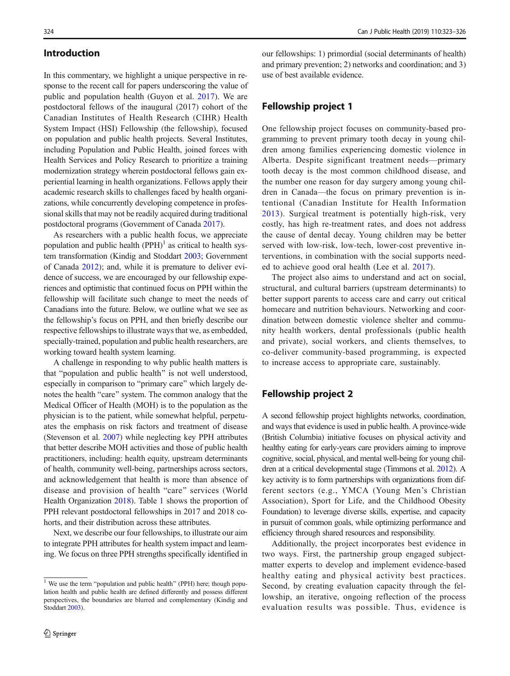## Introduction

In this commentary, we highlight a unique perspective in response to the recent call for papers underscoring the value of public and population health (Guyon et al. [2017\)](#page-3-0). We are postdoctoral fellows of the inaugural (2017) cohort of the Canadian Institutes of Health Research (CIHR) Health System Impact (HSI) Fellowship (the fellowship), focused on population and public health projects. Several Institutes, including Population and Public Health, joined forces with Health Services and Policy Research to prioritize a training modernization strategy wherein postdoctoral fellows gain experiential learning in health organizations. Fellows apply their academic research skills to challenges faced by health organizations, while concurrently developing competence in professional skills that may not be readily acquired during traditional postdoctoral programs (Government of Canada [2017](#page-3-0)).

As researchers with a public health focus, we appreciate population and public health  $(PPH)^{1}$  as critical to health system transformation (Kindig and Stoddart [2003;](#page-3-0) Government of Canada [2012](#page-3-0)); and, while it is premature to deliver evidence of success, we are encouraged by our fellowship experiences and optimistic that continued focus on PPH within the fellowship will facilitate such change to meet the needs of Canadians into the future. Below, we outline what we see as the fellowship's focus on PPH, and then briefly describe our respective fellowships to illustrate ways that we, as embedded, specially-trained, population and public health researchers, are working toward health system learning.

A challenge in responding to why public health matters is that "population and public health" is not well understood, especially in comparison to "primary care" which largely denotes the health "care" system. The common analogy that the Medical Officer of Health (MOH) is to the population as the physician is to the patient, while somewhat helpful, perpetuates the emphasis on risk factors and treatment of disease (Stevenson et al. [2007\)](#page-3-0) while neglecting key PPH attributes that better describe MOH activities and those of public health practitioners, including: health equity, upstream determinants of health, community well-being, partnerships across sectors, and acknowledgement that health is more than absence of disease and provision of health "care" services (World Health Organization [2018](#page-3-0)). Table [1](#page-2-0) shows the proportion of PPH relevant postdoctoral fellowships in 2017 and 2018 cohorts, and their distribution across these attributes.

Next, we describe our four fellowships, to illustrate our aim to integrate PPH attributes for health system impact and learning. We focus on three PPH strengths specifically identified in

our fellowships: 1) primordial (social determinants of health) and primary prevention; 2) networks and coordination; and 3) use of best available evidence.

#### Fellowship project 1

One fellowship project focuses on community-based programming to prevent primary tooth decay in young children among families experiencing domestic violence in Alberta. Despite significant treatment needs—primary tooth decay is the most common childhood disease, and the number one reason for day surgery among young children in Canada—the focus on primary prevention is intentional (Canadian Institute for Health Information [2013\)](#page-3-0). Surgical treatment is potentially high-risk, very costly, has high re-treatment rates, and does not address the cause of dental decay. Young children may be better served with low-risk, low-tech, lower-cost preventive interventions, in combination with the social supports needed to achieve good oral health (Lee et al. [2017](#page-3-0)).

The project also aims to understand and act on social, structural, and cultural barriers (upstream determinants) to better support parents to access care and carry out critical homecare and nutrition behaviours. Networking and coordination between domestic violence shelter and community health workers, dental professionals (public health and private), social workers, and clients themselves, to co-deliver community-based programming, is expected to increase access to appropriate care, sustainably.

# Fellowship project 2

A second fellowship project highlights networks, coordination, and ways that evidence is used in public health. A province-wide (British Columbia) initiative focuses on physical activity and healthy eating for early-years care providers aiming to improve cognitive, social, physical, and mental well-being for young children at a critical developmental stage (Timmons et al. [2012](#page-3-0)). A key activity is to form partnerships with organizations from different sectors (e.g., YMCA (Young Men's Christian Association), Sport for Life, and the Childhood Obesity Foundation) to leverage diverse skills, expertise, and capacity in pursuit of common goals, while optimizing performance and efficiency through shared resources and responsibility.

Additionally, the project incorporates best evidence in two ways. First, the partnership group engaged subjectmatter experts to develop and implement evidence-based healthy eating and physical activity best practices. Second, by creating evaluation capacity through the fellowship, an iterative, ongoing reflection of the process evaluation results was possible. Thus, evidence is

 $\overline{1}$  We use the term "population and public health" (PPH) here; though population health and public health are defined differently and possess different perspectives, the boundaries are blurred and complementary (Kindig and Stoddart [2003\)](#page-3-0).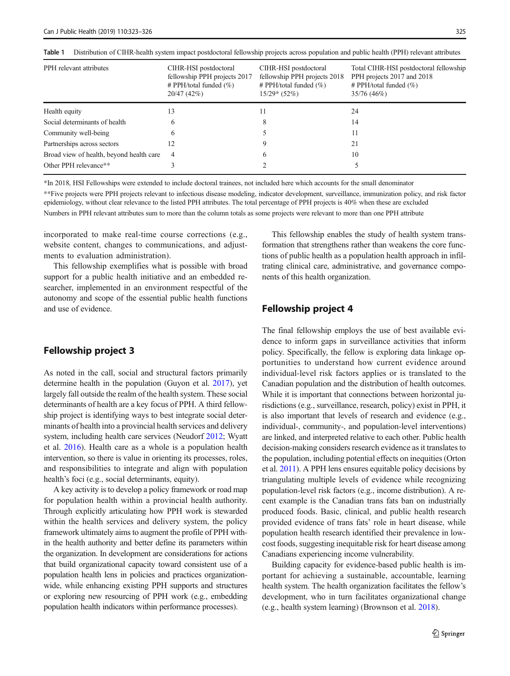<span id="page-2-0"></span>

|  |  |  |  | Table 1 Distribution of CIHR-health system impact postdoctoral fellowship projects across population and public health (PPH) relevant attributes |  |
|--|--|--|--|--------------------------------------------------------------------------------------------------------------------------------------------------|--|
|--|--|--|--|--------------------------------------------------------------------------------------------------------------------------------------------------|--|

| PPH relevant attributes                  | CIHR-HSI postdoctoral<br>fellowship PPH projects 2017<br># PPH/total funded $(\% )$<br>20/47(42%) | CIHR-HSI postdoctoral<br>fellowship PPH projects 2018<br># PPH/total funded $(\% )$<br>$15/29*(52%)$ | Total CIHR-HSI postdoctoral fellowship<br>PPH projects 2017 and 2018<br># PPH/total funded $(\% )$<br>35/76(46%) |
|------------------------------------------|---------------------------------------------------------------------------------------------------|------------------------------------------------------------------------------------------------------|------------------------------------------------------------------------------------------------------------------|
| Health equity                            | 13                                                                                                |                                                                                                      | 24                                                                                                               |
| Social determinants of health            | 6                                                                                                 | 8                                                                                                    | 14                                                                                                               |
| Community well-being                     | 6                                                                                                 |                                                                                                      | 11                                                                                                               |
| Partnerships across sectors              | 12                                                                                                |                                                                                                      | 21                                                                                                               |
| Broad view of health, beyond health care | 4                                                                                                 | <sub>0</sub>                                                                                         | 10                                                                                                               |
| Other PPH relevance**                    |                                                                                                   |                                                                                                      |                                                                                                                  |

\*In 2018, HSI Fellowships were extended to include doctoral trainees, not included here which accounts for the small denominator

\*\*Five projects were PPH projects relevant to infectious disease modeling, indicator development, surveillance, immunization policy, and risk factor epidemiology, without clear relevance to the listed PPH attributes. The total percentage of PPH projects is 40% when these are excluded

Numbers in PPH relevant attributes sum to more than the column totals as some projects were relevant to more than one PPH attribute

incorporated to make real-time course corrections (e.g., website content, changes to communications, and adjustments to evaluation administration).

This fellowship exemplifies what is possible with broad support for a public health initiative and an embedded researcher, implemented in an environment respectful of the autonomy and scope of the essential public health functions and use of evidence.

# Fellowship project 3

As noted in the call, social and structural factors primarily determine health in the population (Guyon et al. [2017](#page-3-0)), yet largely fall outside the realm of the health system. These social determinants of health are a key focus of PPH. A third fellowship project is identifying ways to best integrate social determinants of health into a provincial health services and delivery system, including health care services (Neudorf [2012](#page-3-0); Wyatt et al. [2016\)](#page-3-0). Health care as a whole is a population health intervention, so there is value in orienting its processes, roles, and responsibilities to integrate and align with population health's foci (e.g., social determinants, equity).

A key activity is to develop a policy framework or road map for population health within a provincial health authority. Through explicitly articulating how PPH work is stewarded within the health services and delivery system, the policy framework ultimately aims to augment the profile of PPH within the health authority and better define its parameters within the organization. In development are considerations for actions that build organizational capacity toward consistent use of a population health lens in policies and practices organizationwide, while enhancing existing PPH supports and structures or exploring new resourcing of PPH work (e.g., embedding population health indicators within performance processes).

This fellowship enables the study of health system transformation that strengthens rather than weakens the core functions of public health as a population health approach in infiltrating clinical care, administrative, and governance components of this health organization.

# Fellowship project 4

The final fellowship employs the use of best available evidence to inform gaps in surveillance activities that inform policy. Specifically, the fellow is exploring data linkage opportunities to understand how current evidence around individual-level risk factors applies or is translated to the Canadian population and the distribution of health outcomes. While it is important that connections between horizontal jurisdictions (e.g., surveillance, research, policy) exist in PPH, it is also important that levels of research and evidence (e.g., individual-, community-, and population-level interventions) are linked, and interpreted relative to each other. Public health decision-making considers research evidence as it translates to the population, including potential effects on inequities (Orton et al. [2011](#page-3-0)). A PPH lens ensures equitable policy decisions by triangulating multiple levels of evidence while recognizing population-level risk factors (e.g., income distribution). A recent example is the Canadian trans fats ban on industrially produced foods. Basic, clinical, and public health research provided evidence of trans fats' role in heart disease, while population health research identified their prevalence in lowcost foods, suggesting inequitable risk for heart disease among Canadians experiencing income vulnerability.

Building capacity for evidence-based public health is important for achieving a sustainable, accountable, learning health system. The health organization facilitates the fellow's development, who in turn facilitates organizational change (e.g., health system learning) (Brownson et al. [2018](#page-3-0)).